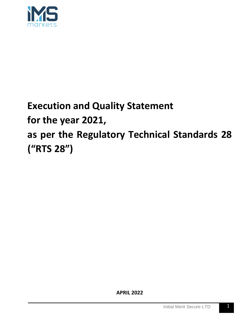

# **Execution and Quality Statement for the year 2021, as per the Regulatory Technical Standards 28 ("RTS 28")**

**APRIL 2022**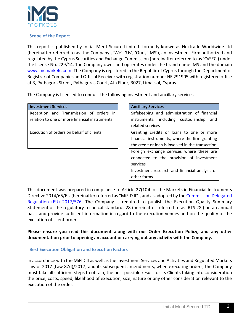

#### **Scope of the Report**

This report is published by Initial Merit Secure Limited formerly known as Nextrade Worldwide Ltd (hereinafter referred to as 'the Company', 'We', 'Us', 'Our', 'IMS'), an Investment Firm authorized and regulated by the Cyprus Securities and Exchange Commission (hereinafter referred to as 'CySEC') under the license No. 229/14. The Company owns and opserates under the brand name IMS and the domain [www.imsmarkets.com.](http://www.imsmarkets.com/) The Company is registered in the Republic of Cyprus through the Department of Registrar of Companies and Official Receiver with registration number HE 291905 with registered office at 3, Pythagora Street, Pythagoras Court, 4th Floor, 3027, Limassol, Cyprus.

The Company is licensed to conduct the following investment and ancillary services

| <b>Investment Services</b>                    | <b>Ancillary Services</b>                         |
|-----------------------------------------------|---------------------------------------------------|
| Reception and Transmission of orders in       | Safekeeping and administration of financial       |
| relation to one or more financial instruments | instruments, including custodianship<br>and       |
|                                               | related services                                  |
| Execution of orders on behalf of clients      | Granting credits or loans to one or more          |
|                                               | financial instruments, where the firm granting    |
|                                               | the credit or loan is involved in the transaction |
|                                               | Foreign exchange services where these are         |
|                                               | connected to the provision of investment          |
|                                               | services                                          |
|                                               | Investment research and financial analysis or     |
|                                               | other forms                                       |

This document was prepared in compliance to Article 27(10)b of the Markets in Financial Instruments Directive 2014/65/EU (hereinafter referred as "MiFID II"), and as adopted by the Commission Delegated [Regulation \(EU\) 2017/576.](https://www.cysec.gov.cy/CMSPages/GetFile.aspx?guid=d4149377-88d7-4c41-8a85-558cb442134f) The Company is required to publish the Execution Quality Summary Statement of the regulatory technical standards 28 (hereinafter referred to as 'RTS 28') on an annual basis and provide sufficient information in regard to the execution venues and on the quality of the execution of client orders.

**Please ensure you read this document along with our Order Execution Policy, and any other documentation prior to opening an account or carrying out any activity with the Company.** 

## **Best Execution Obligation and Execution Factors**

In accordance with the MiFID II as well as the Investment Services and Activities and Regulated Markets Law of 2017 (Law 87(I)/2017) and its subsequent amendments, when executing orders, the Company must take all sufficient steps to obtain, the best possible result for its Clients taking into consideration the price, costs, speed, likelihood of execution, size, nature or any other consideration relevant to the execution of the order.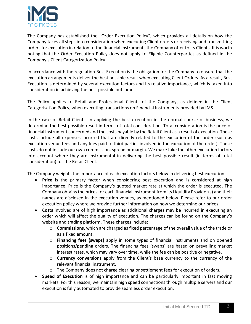

The Company has established the "Order Execution Policy", which provides all details on how the Company takes all steps into consideration when executing Client orders or receiving and transmitting orders for execution in relation to the financial instruments the Company offer to its Clients. It is worth noting that the Order Execution Policy does not apply to Eligible Counterparties as defined in the Company's Client Categorization Policy.

In accordance with the regulation Best Execution is the obligation for the Company to ensure that the execution arrangements deliver the best possible result when executing Client Orders. As a result, Best Execution is determined by several execution factors and its relative importance, which is taken into consideration in achieving the best possible outcome.

The Policy applies to Retail and Professional Clients of the Company, as defined in the Client Categorisation Policy, when executing transactions on Financial Instruments provided by IMS.

In the case of Retail Clients, in applying the best execution in the normal course of business, we determine the best possible result in terms of total consideration. Total consideration is the price of financial instrument concerned and the costs payable by the Retail Client as a result of execution. These costs include all expenses incurred that are directly related to the execution of the order (such as execution venue fees and any fees paid to third parties involved in the execution of the order). These costs do not include our own commission, spread or margin. We make take the other execution factors into account where they are instrumental in delivering the best possible result (in terms of total consideration) for the Retail Client.

The Company weights the importance of each execution factors below in delivering best execution:

- **Price** is the primary factor when considering best execution and is considered at high importance. Price is the Company's quoted market rate at which the order is executed. The Company obtains the prices for each financial instrument from its Liquidity Provider(s) and their names are disclosed in the execution venues, as mentioned below. Please refer to our order execution policy where we provide further information on how we determine our prices.
- **Costs** involved are of high importance as additional charges may be incurred in executing an order which will affect the quality of execution. The charges can be found on the Company's website and trading platform. These charges include:
	- o **Commissions**, which are charged as fixed percentage of the overall value of the trade or as a fixed amount.
	- o **Financing fees (swaps)** apply in some types of financial instruments and on opened positions/pending orders. The financing fees (swaps) are based on prevailing market interest rates, which may vary over time, while the fee can be positive or negative.
	- o **Currency conversions** apply from the Client's base currency to the currency of the relevant financial instrument.
	- $\circ$  The Company does not charge clearing or settlement fees for execution of orders.
- **Speed of Execution** is of high importance and can be particularly important in fast moving markets. For this reason, we maintain high speed connections through multiple servers and our execution is fully automated to provide seamless order execution.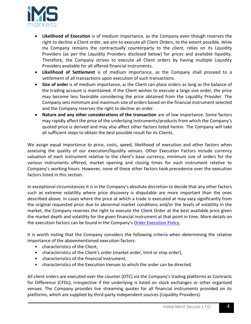

- **Likelihood of Execution** is of medium importance, as the Company even though reserves the right to decline a Client order, we aim to execute all Client Orders, to the extent possible. While the Company remains the contractually counterparty to the client, relies on its Liquidity Providers (as per the Liquidity Providers disclosed below) for prices and available liquidity. Therefore, the Company strives to execute all Client orders by having multiple Liquidity Providers available for all offered financial instruments.
- **Likelihood of Settlement** is of medium importance, as the Company shall proceed to a settlement of all transactions upon execution of such transactions.
- **Size of order** is of medium importance, as the Client can place orders as long as the balance of the trading account is maintained. If the Client wishes to execute a large size order, the price may become less favorable considering the price obtained from the Liquidity Provider. The Company sets minimum and maximum size of orders based on the financial instrument selected and the Company reserves the right to decline an order.
- **Nature and any other considerations of the transaction** are of low importance. Some factors may rapidly affect the price of the underlying instruments/products from which the Company's quoted price is derived and may also affect other factors listed herein. The Company will take all sufficient steps to obtain the best possible result for its Clients.

We assign equal importance to price, costs, speed, likelihood of execution and other factors when assessing the quality of our execution/liquidity venues. Other Execution Factors include currency valuation of each instrument relative to the client's base currency, minimum size of orders for the various instruments offered, market opening and closing times for each instrument relative to Company's working hours. However, none of these other factors took precedence over the execution factors listed in this section.

In exceptional circumstances it is in the Company's absolute discretion to decide that any other factors such as extreme volatility where price discovery is disputable are more important than the ones described above. In cases where the price at which a trade is executed at may vary significantly from the original requested price due to abnormal market conditions and/or the levels of volatility in the market, the Company reserves the right to execute the Client Order at the best available price given the market depth and volatility for the given financial instrument at that point in time. More details on the execution factors can be found in the Company's [Order Execution Policy.](https://www.imsmarkets.com/user/themes/custom-theme/documents/Best%20Execution%20Policy.pdf)

It is worth noting that the Company considers the following criteria when determining the relative importance of the abovementioned execution factors:

- characteristics of the Client,
- characteristics of the Client's order (market order, limit or stop order),
- characteristics of the financial instrument,
- characteristics of the Execution Venues to which the order can be directed.

All client orders are executed over the counter (OTC) via the Company's trading platforms as Contracts for Difference (CFDs), irrespective if the underlying is listed on stock exchanges or other organized venues. The Company provides live streaming quotes for all financial instruments provided on its platforms, which are supplied by third-party independent sources (Liquidity Providers).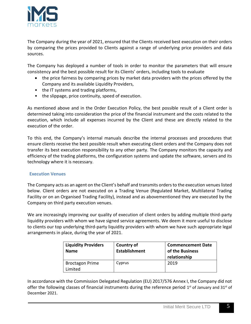

The Company during the year of 2021, ensured that the Clients received best execution on their orders by comparing the prices provided to Clients against a range of underlying price providers and data sources.

The Company has deployed a number of tools in order to monitor the parameters that will ensure consistency and the best possible result for its Clients' orders, including tools to evaluate

- the price fairness by comparing prices by market data providers with the prices offered by the Company and its available Liquidity Providers,
- the IT systems and trading platforms,
- the slippage, price continuity, speed of execution.

As mentioned above and in the Order Execution Policy, the best possible result of a Client order is determined taking into consideration the price of the financial instrument and the costs related to the execution, which include all expenses incurred by the Client and these are directly related to the execution of the order.

To this end, the Company's internal manuals describe the internal processes and procedures that ensure clients receive the best possible result when executing client orders and the Company does not transfer its best execution responsibility to any other party. The Company monitors the capacity and efficiency of the trading platforms, the configuration systems and update the software, servers and its technology where it is necessary.

## **Execution Venues**

The Company acts as an agent on the Client's behalf and transmits orders to the execution venues listed below. Client orders are not executed on a Trading Venue (Regulated Market, Multilateral Trading Facility or on an Organised Trading Facility), instead and as abovementioned they are executed by the Company on third party execution venues.

We are increasingly improving our quality of execution of client orders by adding multiple third-party liquidity providers with whom we have signed service agreements. We deem it more useful to disclose to clients our top underlying third-party liquidity providers with whom we have such appropriate legal arrangements in place, during the year of 2021.

| <b>Liquidity Providers</b><br><b>Name</b> | Country of<br><b>Establishment</b> | <b>Commencement Date</b><br>of the Business<br>relationship |
|-------------------------------------------|------------------------------------|-------------------------------------------------------------|
| <b>Broctagon Prime</b><br>Limited         | Cyprus                             | 2019                                                        |

In accordance with the Commission Delegated Regulation (EU) 2017/576 Annex I, the Company did not offer the following classes of financial instruments during the reference period  $1<sup>st</sup>$  of January and 31 $<sup>st</sup>$  of</sup> December 2021.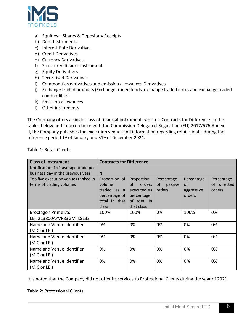

- a) Equities Shares & Depositary Receipts
- b) Debt Instruments
- c) Interest Rate Derivatives
- d) Credit Derivatives
- e) Currency Derivatives
- f) Structured finance instruments
- g) Equity Derivatives
- h) Securitised Derivatives
- i) Commodities derivatives and emission allowances Derivatives
- j) Exchange traded products (Exchange traded funds, exchange traded notes and exchange traded commodities)
- k) Emission allowances
- l) Other instruments

The Company offers a single class of financial instrument, which is Contracts for Difference. In the tables below and in accordance with the Commission Delegated Regulation (EU) 2017/576 Annex II, the Company publishes the execution venues and information regarding retail clients, during the reference period  $1<sup>st</sup>$  of January and  $31<sup>st</sup>$  of December 2021.

| <b>Class of Instrument</b>           | <b>Contracts for Difference</b> |              |               |            |                |
|--------------------------------------|---------------------------------|--------------|---------------|------------|----------------|
| Notification if <1 average trade per |                                 |              |               |            |                |
| business day in the previous year    | N                               |              |               |            |                |
| Top five execution venues ranked in  | Proportion of                   | Proportion   | Percentage    | Percentage | Percentage     |
| terms of trading volumes             | volume                          | of<br>orders | 0f<br>passive | 0f         | directed<br>of |
|                                      | traded as a                     | executed as  | orders        | aggressive | orders         |
|                                      | percentage of $\parallel$       | percentage   |               | orders     |                |
|                                      | total in that                   | of total in  |               |            |                |
|                                      | class                           | that class   |               |            |                |
| <b>Broctagon Prime Ltd</b>           | 100%                            | 100%         | 0%            | 100%       | 0%             |
| LEI: 213800AYVP83GMTLSE33            |                                 |              |               |            |                |
| Name and Venue Identifier            | 0%                              | 0%           | 0%            | 0%         | 0%             |
| (MIC or LEI)                         |                                 |              |               |            |                |
| Name and Venue Identifier            | 0%                              | 0%           | 0%            | 0%         | 0%             |
| (MIC or LEI)                         |                                 |              |               |            |                |
| Name and Venue Identifier            | 0%                              | 0%           | 0%            | 0%         | 0%             |
| (MIC or LEI)                         |                                 |              |               |            |                |
| Name and Venue Identifier            | 0%                              | 0%           | 0%            | 0%         | 0%             |
| (MIC or LEI)                         |                                 |              |               |            |                |

Table 1: Retail Clients

It is noted that the Company did not offer its services to Professional Clients during the year of 2021.

Table 2: Professional Clients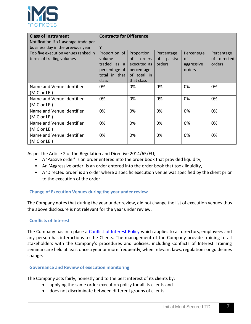

| <b>Class of Instrument</b>           | <b>Contracts for Difference</b> |                   |               |            |             |
|--------------------------------------|---------------------------------|-------------------|---------------|------------|-------------|
| Notification if <1 average trade per |                                 |                   |               |            |             |
| business day in the previous year    | Y                               |                   |               |            |             |
| Top five execution venues ranked in  | Proportion of                   | <b>Proportion</b> | Percentage    | Percentage | Percentage  |
| terms of trading volumes             | volume                          | 0f<br>orders      | of<br>passive | οf         | of directed |
|                                      | traded as a                     | executed as       | orders        | aggressive | orders      |
|                                      | percentage of                   | percentage        |               | orders     |             |
|                                      | total in that                   | of total in       |               |            |             |
|                                      | class                           | that class        |               |            |             |
| Name and Venue Identifier            | 0%                              | 0%                | 0%            | 0%         | 0%          |
| (MIC or LEI)                         |                                 |                   |               |            |             |
| Name and Venue Identifier            | 0%                              | 0%                | 0%            | 0%         | 0%          |
| (MIC or LEI)                         |                                 |                   |               |            |             |
| Name and Venue Identifier            | 0%                              | 0%                | 0%            | 0%         | 0%          |
| (MIC or LEI)                         |                                 |                   |               |            |             |
| Name and Venue Identifier            | 0%                              | 0%                | 0%            | 0%         | 0%          |
| (MIC or LEI)                         |                                 |                   |               |            |             |
| Name and Venue Identifier            | 0%                              | 0%                | 0%            | 0%         | 0%          |
| (MIC or LEI)                         |                                 |                   |               |            |             |

As per the Article 2 of the Regulation and Directive 2014/65/EU;

- A 'Passive order' is an order entered into the order book that provided liquidity,
- An 'Aggressive order' is an order entered into the order book that took liquidity,
- A 'Directed order' is an order where a specific execution venue was specified by the client prior to the execution of the order.

## **Change of Execution Venues during the year under review**

The Company notes that during the year under review, did not change the list of execution venues thus the above disclosure is not relevant for the year under review.

## **Conflicts of Interest**

The Company has in a place a **Conflict of Interest Policy** which applies to all directors, employees and any person has interactions to the Clients. The management of the Company provide training to all stakeholders with the Company's procedures and policies, including Conflicts of Interest Training seminars are held at least once a year or more frequently, when relevant laws, regulations or guidelines change.

## **Governance and Review of execution monitoring**

The Company acts fairly, honestly and to the best interest of its clients by:

- applying the same order execution policy for all its clients and
- does not discriminate between different groups of clients.